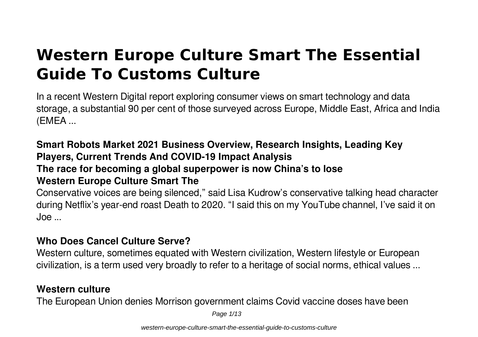# **Western Europe Culture Smart The Essential Guide To Customs Culture**

In a recent Western Digital report exploring consumer views on smart technology and data storage, a substantial 90 per cent of those surveyed across Europe, Middle East, Africa and India (EMEA ...

### **Smart Robots Market 2021 Business Overview, Research Insights, Leading Key Players, Current Trends And COVID-19 Impact Analysis The race for becoming a global superpower is now China's to lose Western Europe Culture Smart The**

Conservative voices are being silenced," said Lisa Kudrow's conservative talking head character during Netflix's year-end roast Death to 2020. "I said this on my YouTube channel, I've said it on  $I$ oe ...

#### **Who Does Cancel Culture Serve?**

Western culture, sometimes equated with Western civilization, Western lifestyle or European civilization, is a term used very broadly to refer to a heritage of social norms, ethical values ...

#### **Western culture**

The European Union denies Morrison government claims Covid vaccine doses have been

Page 1/13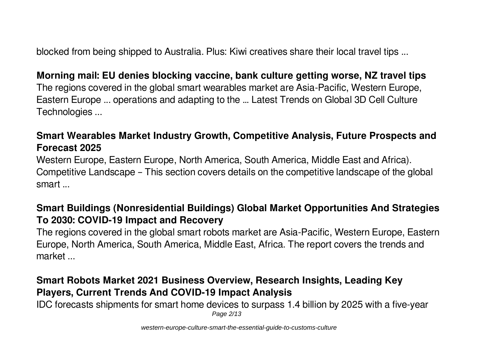blocked from being shipped to Australia. Plus: Kiwi creatives share their local travel tips ...

#### **Morning mail: EU denies blocking vaccine, bank culture getting worse, NZ travel tips**

The regions covered in the global smart wearables market are Asia-Pacific, Western Europe, Eastern Europe ... operations and adapting to the … Latest Trends on Global 3D Cell Culture Technologies ...

### **Smart Wearables Market Industry Growth, Competitive Analysis, Future Prospects and Forecast 2025**

Western Europe, Eastern Europe, North America, South America, Middle East and Africa). Competitive Landscape – This section covers details on the competitive landscape of the global smart ...

#### **Smart Buildings (Nonresidential Buildings) Global Market Opportunities And Strategies To 2030: COVID-19 Impact and Recovery**

The regions covered in the global smart robots market are Asia-Pacific, Western Europe, Eastern Europe, North America, South America, Middle East, Africa. The report covers the trends and market ...

### **Smart Robots Market 2021 Business Overview, Research Insights, Leading Key Players, Current Trends And COVID-19 Impact Analysis**

IDC forecasts shipments for smart home devices to surpass 1.4 billion by 2025 with a five-year Page 2/13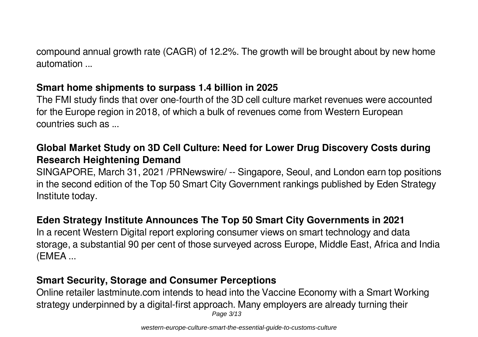compound annual growth rate (CAGR) of 12.2%. The growth will be brought about by new home automation ...

### **Smart home shipments to surpass 1.4 billion in 2025**

The FMI study finds that over one-fourth of the 3D cell culture market revenues were accounted for the Europe region in 2018, of which a bulk of revenues come from Western European countries such as ...

### **Global Market Study on 3D Cell Culture: Need for Lower Drug Discovery Costs during Research Heightening Demand**

SINGAPORE, March 31, 2021 /PRNewswire/ -- Singapore, Seoul, and London earn top positions in the second edition of the Top 50 Smart City Government rankings published by Eden Strategy Institute today.

### **Eden Strategy Institute Announces The Top 50 Smart City Governments in 2021**

In a recent Western Digital report exploring consumer views on smart technology and data storage, a substantial 90 per cent of those surveyed across Europe, Middle East, Africa and India (EMEA ...

### **Smart Security, Storage and Consumer Perceptions**

Online retailer lastminute.com intends to head into the Vaccine Economy with a Smart Working strategy underpinned by a digital-first approach. Many employers are already turning their Page 3/13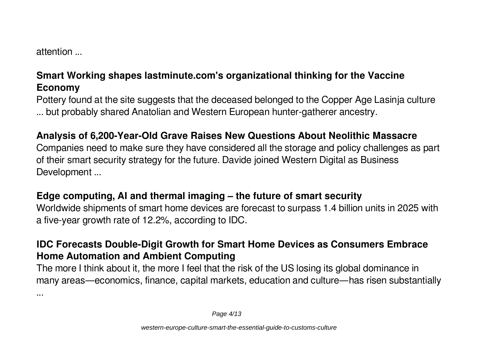attention ...

### **Smart Working shapes lastminute.com's organizational thinking for the Vaccine Economy**

Pottery found at the site suggests that the deceased belonged to the Copper Age Lasinja culture ... but probably shared Anatolian and Western European hunter-gatherer ancestry.

### **Analysis of 6,200-Year-Old Grave Raises New Questions About Neolithic Massacre**

Companies need to make sure they have considered all the storage and policy challenges as part of their smart security strategy for the future. Davide joined Western Digital as Business Development ...

#### **Edge computing, AI and thermal imaging – the future of smart security**

Worldwide shipments of smart home devices are forecast to surpass 1.4 billion units in 2025 with a five-year growth rate of 12.2%, according to IDC.

### **IDC Forecasts Double-Digit Growth for Smart Home Devices as Consumers Embrace Home Automation and Ambient Computing**

The more I think about it, the more I feel that the risk of the US losing its global dominance in many areas—economics, finance, capital markets, education and culture—has risen substantially

...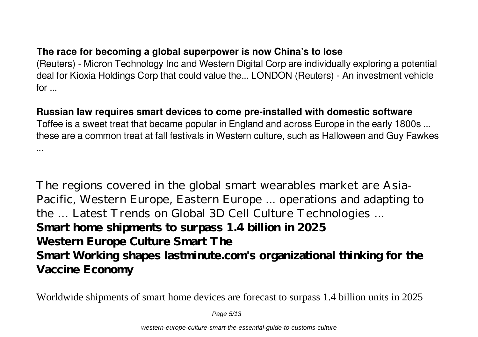### **The race for becoming a global superpower is now China's to lose**

(Reuters) - Micron Technology Inc and Western Digital Corp are individually exploring a potential deal for Kioxia Holdings Corp that could value the... LONDON (Reuters) - An investment vehicle for ...

### **Russian law requires smart devices to come pre-installed with domestic software**

Toffee is a sweet treat that became popular in England and across Europe in the early 1800s ... these are a common treat at fall festivals in Western culture, such as Halloween and Guy Fawkes ...

The regions covered in the global smart wearables market are Asia-Pacific, Western Europe, Eastern Europe ... operations and adapting to the … Latest Trends on Global 3D Cell Culture Technologies ... **Smart home shipments to surpass 1.4 billion in 2025 Western Europe Culture Smart The Smart Working shapes lastminute.com's organizational thinking for the Vaccine Economy**

Worldwide shipments of smart home devices are forecast to surpass 1.4 billion units in 2025

Page 5/13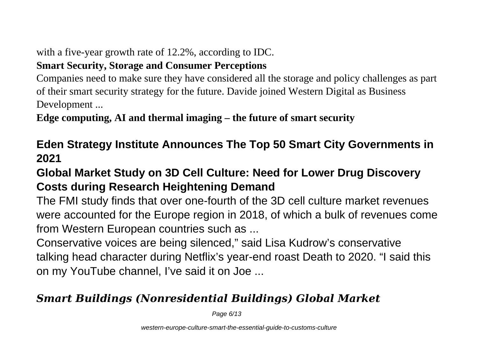with a five-year growth rate of 12.2%, according to IDC.

### **Smart Security, Storage and Consumer Perceptions**

Companies need to make sure they have considered all the storage and policy challenges as part of their smart security strategy for the future. Davide joined Western Digital as Business Development ...

**Edge computing, AI and thermal imaging – the future of smart security**

# **Eden Strategy Institute Announces The Top 50 Smart City Governments in 2021**

# **Global Market Study on 3D Cell Culture: Need for Lower Drug Discovery Costs during Research Heightening Demand**

The FMI study finds that over one-fourth of the 3D cell culture market revenues were accounted for the Europe region in 2018, of which a bulk of revenues come from Western European countries such as ...

Conservative voices are being silenced," said Lisa Kudrow's conservative talking head character during Netflix's year-end roast Death to 2020. "I said this on my YouTube channel, I've said it on Joe ...

# *Smart Buildings (Nonresidential Buildings) Global Market*

Page 6/13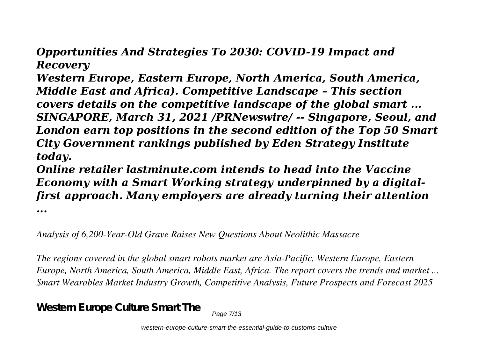*Opportunities And Strategies To 2030: COVID-19 Impact and Recovery*

*Western Europe, Eastern Europe, North America, South America, Middle East and Africa). Competitive Landscape – This section covers details on the competitive landscape of the global smart ... SINGAPORE, March 31, 2021 /PRNewswire/ -- Singapore, Seoul, and London earn top positions in the second edition of the Top 50 Smart City Government rankings published by Eden Strategy Institute today.*

*Online retailer lastminute.com intends to head into the Vaccine Economy with a Smart Working strategy underpinned by a digitalfirst approach. Many employers are already turning their attention*

*...*

*Analysis of 6,200-Year-Old Grave Raises New Questions About Neolithic Massacre*

*The regions covered in the global smart robots market are Asia-Pacific, Western Europe, Eastern Europe, North America, South America, Middle East, Africa. The report covers the trends and market ... Smart Wearables Market Industry Growth, Competitive Analysis, Future Prospects and Forecast 2025*

**Western Europe Culture Smart The**

Page 7/13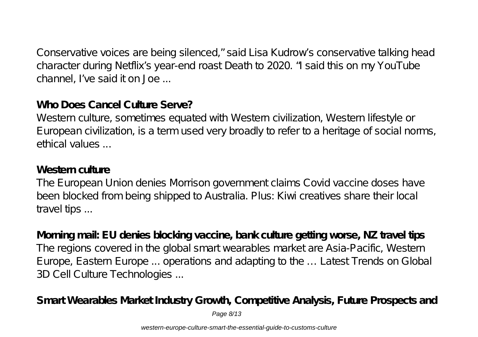Conservative voices are being silenced," said Lisa Kudrow's conservative talking head character during Netflix's year-end roast Death to 2020. "I said this on my YouTube channel, I've said it on Joe ...

### **Who Does Cancel Culture Serve?**

Western culture, sometimes equated with Western civilization, Western lifestyle or European civilization, is a term used very broadly to refer to a heritage of social norms, ethical values ...

### **Western culture**

The European Union denies Morrison government claims Covid vaccine doses have been blocked from being shipped to Australia. Plus: Kiwi creatives share their local travel tips ...

**Morning mail: EU denies blocking vaccine, bank culture getting worse, NZ travel tips** The regions covered in the global smart wearables market are Asia-Pacific, Western Europe, Eastern Europe ... operations and adapting to the … Latest Trends on Global 3D Cell Culture Technologies ...

**Smart Wearables Market Industry Growth, Competitive Analysis, Future Prospects and**

Page 8/13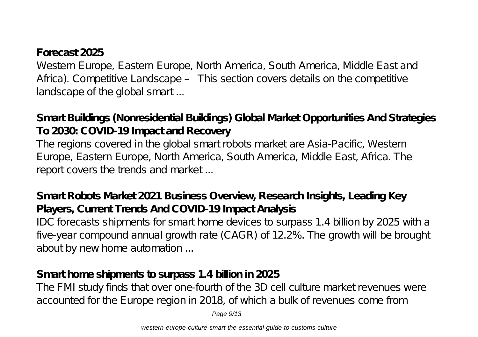### **Forecast 2025**

Western Europe, Eastern Europe, North America, South America, Middle East and Africa). Competitive Landscape – This section covers details on the competitive landscape of the global smart ...

**Smart Buildings (Nonresidential Buildings) Global Market Opportunities And Strategies To 2030: COVID-19 Impact and Recovery**

The regions covered in the global smart robots market are Asia-Pacific, Western Europe, Eastern Europe, North America, South America, Middle East, Africa. The report covers the trends and market ...

### **Smart Robots Market 2021 Business Overview, Research Insights, Leading Key Players, Current Trends And COVID-19 Impact Analysis**

IDC forecasts shipments for smart home devices to surpass 1.4 billion by 2025 with a five-year compound annual growth rate (CAGR) of 12.2%. The growth will be brought about by new home automation ...

### **Smart home shipments to surpass 1.4 billion in 2025**

The FMI study finds that over one-fourth of the 3D cell culture market revenues were accounted for the Europe region in 2018, of which a bulk of revenues come from

Page 9/13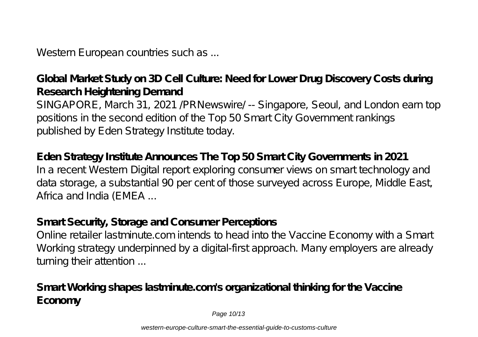Western European countries such as ...

## **Global Market Study on 3D Cell Culture: Need for Lower Drug Discovery Costs during Research Heightening Demand**

SINGAPORE, March 31, 2021 /PRNewswire/ -- Singapore, Seoul, and London earn top positions in the second edition of the Top 50 Smart City Government rankings published by Eden Strategy Institute today.

### **Eden Strategy Institute Announces The Top 50 Smart City Governments in 2021** In a recent Western Digital report exploring consumer views on smart technology and data storage, a substantial 90 per cent of those surveyed across Europe, Middle East, Africa and India (EMEA ...

# **Smart Security, Storage and Consumer Perceptions**

Online retailer lastminute.com intends to head into the Vaccine Economy with a Smart Working strategy underpinned by a digital-first approach. Many employers are already turning their attention ...

**Smart Working shapes lastminute.com's organizational thinking for the Vaccine Economy**

Page 10/13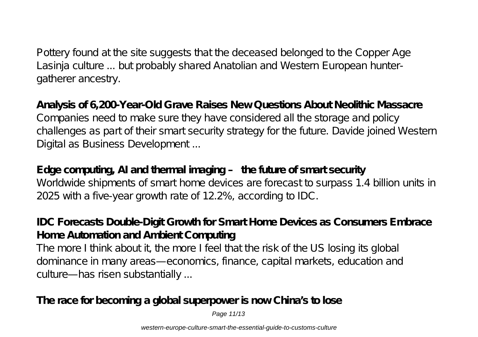Pottery found at the site suggests that the deceased belonged to the Copper Age Lasinja culture ... but probably shared Anatolian and Western European huntergatherer ancestry.

**Analysis of 6,200-Year-Old Grave Raises New Questions About Neolithic Massacre** Companies need to make sure they have considered all the storage and policy challenges as part of their smart security strategy for the future. Davide joined Western Digital as Business Development ...

**Edge computing, AI and thermal imaging – the future of smart security** Worldwide shipments of smart home devices are forecast to surpass 1.4 billion units in 2025 with a five-year growth rate of 12.2%, according to IDC.

### **IDC Forecasts Double-Digit Growth for Smart Home Devices as Consumers Embrace Home Automation and Ambient Computing**

The more I think about it, the more I feel that the risk of the US losing its global dominance in many areas—economics, finance, capital markets, education and culture—has risen substantially ...

**The race for becoming a global superpower is now China's to lose**

Page 11/13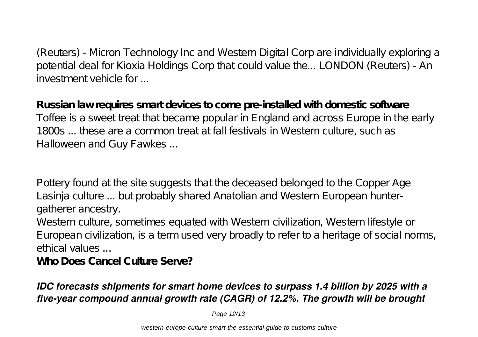(Reuters) - Micron Technology Inc and Western Digital Corp are individually exploring a potential deal for Kioxia Holdings Corp that could value the... LONDON (Reuters) - An investment vehicle for ...

**Russian law requires smart devices to come pre-installed with domestic software** Toffee is a sweet treat that became popular in England and across Europe in the early 1800s ... these are a common treat at fall festivals in Western culture, such as Halloween and Guy Fawkes ...

Pottery found at the site suggests that the deceased belonged to the Copper Age Lasinja culture ... but probably shared Anatolian and Western European huntergatherer ancestry.

Western culture, sometimes equated with Western civilization, Western lifestyle or European civilization, is a term used very broadly to refer to a heritage of social norms, ethical values ...

**Who Does Cancel Culture Serve?**

### *IDC forecasts shipments for smart home devices to surpass 1.4 billion by 2025 with a five-year compound annual growth rate (CAGR) of 12.2%. The growth will be brought*

Page 12/13